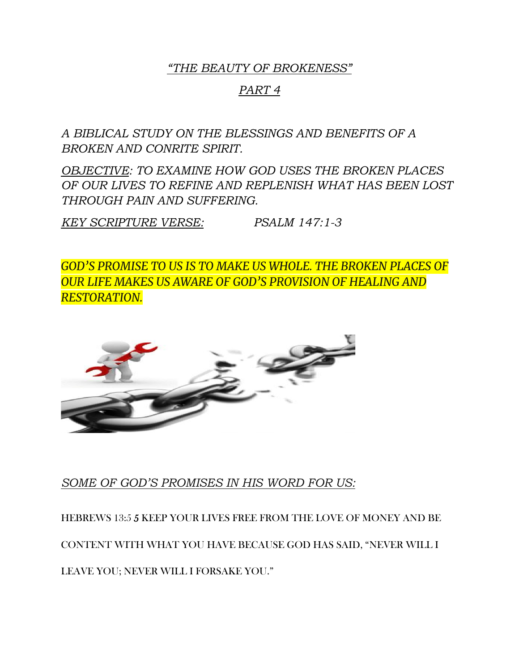## *"THE BEAUTY OF BROKENESS"*

## *PART 4*

*A BIBLICAL STUDY ON THE BLESSINGS AND BENEFITS OF A BROKEN AND CONRITE SPIRIT.*

*OBJECTIVE: TO EXAMINE HOW GOD USES THE BROKEN PLACES OF OUR LIVES TO REFINE AND REPLENISH WHAT HAS BEEN LOST THROUGH PAIN AND SUFFERING.*

*KEY SCRIPTURE VERSE: PSALM 147:1-3*

*GOD'S PROMISE TO US IS TO MAKE US WHOLE. THE BROKEN PLACES OF OUR LIFE MAKES US AWARE OF GOD'S PROVISION OF HEALING AND RESTORATION.*



## *SOME OF GOD'S PROMISES IN HIS WORD FOR US:*

HEBREWS 13:5 5 KEEP YOUR LIVES FREE FROM THE LOVE OF MONEY AND BE CONTENT WITH WHAT YOU HAVE BECAUSE GOD HAS SAID, "NEVER WILL I LEAVE YOU; NEVER WILL I FORSAKE YOU."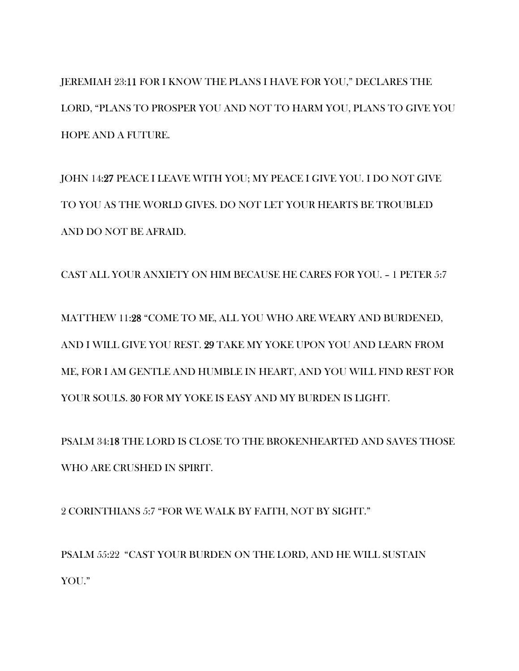JEREMIAH 23:11 FOR I KNOW THE PLANS I HAVE FOR YOU," DECLARES THE LORD, "PLANS TO PROSPER YOU AND NOT TO HARM YOU, PLANS TO GIVE YOU HOPE AND A FUTURE.

JOHN 14:27 PEACE I LEAVE WITH YOU; MY PEACE I GIVE YOU. I DO NOT GIVE TO YOU AS THE WORLD GIVES. DO NOT LET YOUR HEARTS BE TROUBLED AND DO NOT BE AFRAID.

CAST ALL YOUR ANXIETY ON HIM BECAUSE HE CARES FOR YOU. – 1 PETER 5:7

MATTHEW 11:28 "COME TO ME, ALL YOU WHO ARE WEARY AND BURDENED, AND I WILL GIVE YOU REST. 29 TAKE MY YOKE UPON YOU AND LEARN FROM ME, FOR I AM GENTLE AND HUMBLE IN HEART, AND YOU WILL FIND REST FOR YOUR SOULS. 30 FOR MY YOKE IS EASY AND MY BURDEN IS LIGHT.

PSALM 34:18 THE LORD IS CLOSE TO THE BROKENHEARTED AND SAVES THOSE WHO ARE CRUSHED IN SPIRIT.

2 CORINTHIANS 5:7 "FOR WE WALK BY FAITH, NOT BY SIGHT."

PSALM 55:22 "CAST YOUR BURDEN ON THE LORD, AND HE WILL SUSTAIN YOU."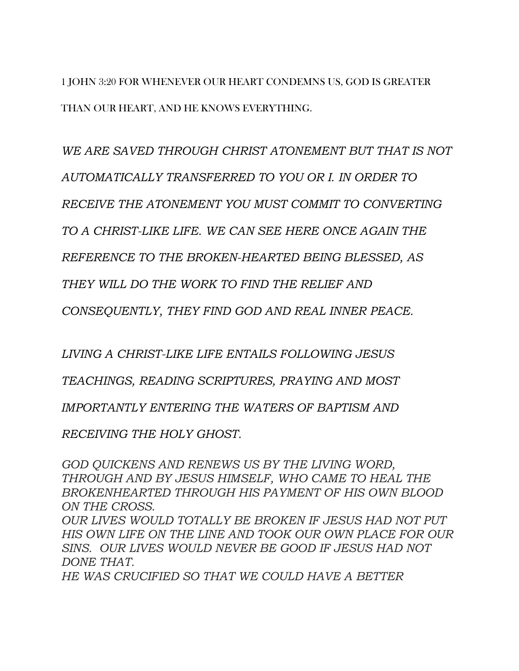1 JOHN 3:20 FOR WHENEVER OUR HEART CONDEMNS US, GOD IS GREATER THAN OUR HEART, AND HE KNOWS EVERYTHING.

*WE ARE SAVED THROUGH CHRIST ATONEMENT BUT THAT IS NOT AUTOMATICALLY TRANSFERRED TO YOU OR I. IN ORDER TO RECEIVE THE ATONEMENT YOU MUST COMMIT TO CONVERTING TO A CHRIST-LIKE LIFE. WE CAN SEE HERE ONCE AGAIN THE REFERENCE TO THE BROKEN-HEARTED BEING BLESSED, AS THEY WILL DO THE WORK TO FIND THE RELIEF AND CONSEQUENTLY, THEY FIND GOD AND REAL INNER PEACE.*

*LIVING A CHRIST-LIKE LIFE ENTAILS FOLLOWING JESUS TEACHINGS, READING SCRIPTURES, PRAYING AND MOST IMPORTANTLY ENTERING THE WATERS OF BAPTISM AND RECEIVING THE HOLY GHOST.*

*GOD QUICKENS AND RENEWS US BY THE LIVING WORD, THROUGH AND BY JESUS HIMSELF, WHO CAME TO HEAL THE BROKENHEARTED THROUGH HIS PAYMENT OF HIS OWN BLOOD ON THE CROSS. OUR LIVES WOULD TOTALLY BE BROKEN IF JESUS HAD NOT PUT HIS OWN LIFE ON THE LINE AND TOOK OUR OWN PLACE FOR OUR SINS. OUR LIVES WOULD NEVER BE GOOD IF JESUS HAD NOT DONE THAT. HE WAS CRUCIFIED SO THAT WE COULD HAVE A BETTER*